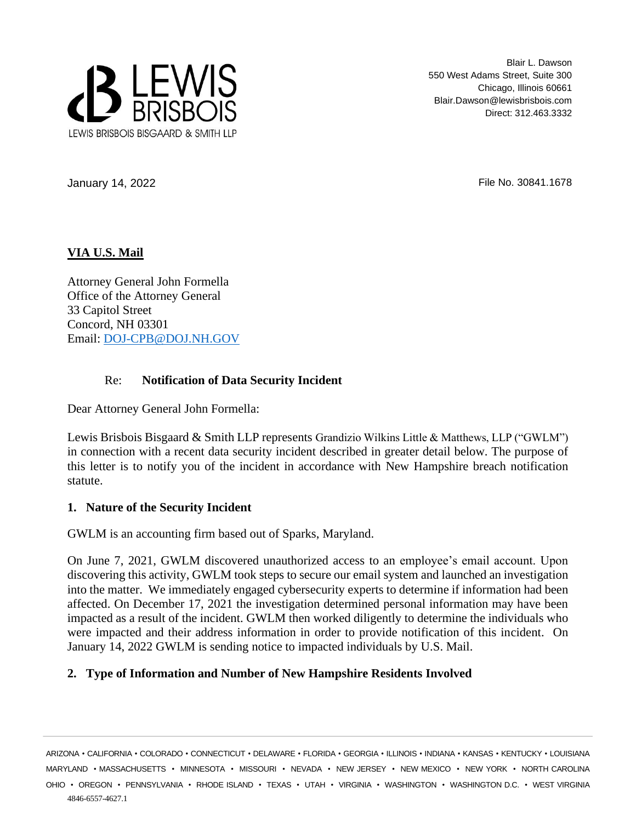

Blair L. Dawson 550 West Adams Street, Suite 300 Chicago, Illinois 60661 Blair.Dawson@lewisbrisbois.com Direct: 312.463.3332

January 14, 2022 **File No. 30841.1678** 

# **VIA U.S. Mail**

Attorney General John Formella Office of the Attorney General 33 Capitol Street Concord, NH 03301 Email: [DOJ-CPB@DOJ.NH.GOV](mailto:DOJ-CPB@DOJ.NH.GOV)

## Re: **Notification of Data Security Incident**

Dear Attorney General John Formella:

Lewis Brisbois Bisgaard & Smith LLP represents Grandizio Wilkins Little & Matthews, LLP ("GWLM") in connection with a recent data security incident described in greater detail below. The purpose of this letter is to notify you of the incident in accordance with New Hampshire breach notification statute.

# **1. Nature of the Security Incident**

GWLM is an accounting firm based out of Sparks, Maryland.

On June 7, 2021, GWLM discovered unauthorized access to an employee's email account. Upon discovering this activity, GWLM took steps to secure our email system and launched an investigation into the matter. We immediately engaged cybersecurity experts to determine if information had been affected. On December 17, 2021 the investigation determined personal information may have been impacted as a result of the incident. GWLM then worked diligently to determine the individuals who were impacted and their address information in order to provide notification of this incident. On January 14, 2022 GWLM is sending notice to impacted individuals by U.S. Mail.

# **2. Type of Information and Number of New Hampshire Residents Involved**

4846-6557-4627.1 ARIZONA • CALIFORNIA • COLORADO • CONNECTICUT • DELAWARE • FLORIDA • GEORGIA • ILLINOIS • INDIANA • KANSAS • KENTUCKY • LOUISIANA MARYLAND • MASSACHUSETTS • MINNESOTA • MISSOURI • NEVADA • NEW JERSEY • NEW MEXICO • NEW YORK • NORTH CAROLINA OHIO • OREGON • PENNSYLVANIA • RHODE ISLAND • TEXAS • UTAH • VIRGINIA • WASHINGTON • WASHINGTON D.C. • WEST VIRGINIA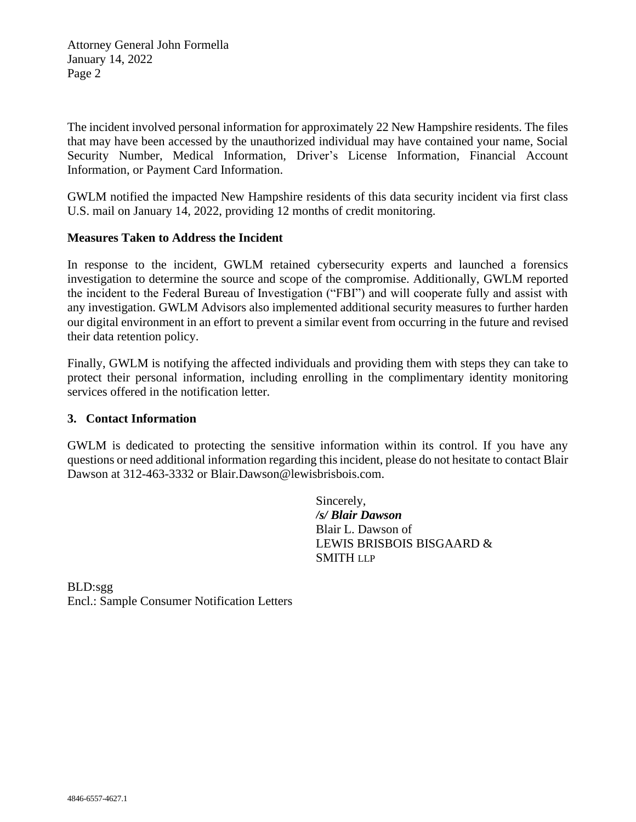Attorney General John Formella January 14, 2022 Page 2

The incident involved personal information for approximately 22 New Hampshire residents. The files that may have been accessed by the unauthorized individual may have contained your name, Social Security Number, Medical Information, Driver's License Information, Financial Account Information, or Payment Card Information.

GWLM notified the impacted New Hampshire residents of this data security incident via first class U.S. mail on January 14, 2022, providing 12 months of credit monitoring.

## **Measures Taken to Address the Incident**

In response to the incident, GWLM retained cybersecurity experts and launched a forensics investigation to determine the source and scope of the compromise. Additionally, GWLM reported the incident to the Federal Bureau of Investigation ("FBI") and will cooperate fully and assist with any investigation. GWLM Advisors also implemented additional security measures to further harden our digital environment in an effort to prevent a similar event from occurring in the future and revised their data retention policy.

Finally, GWLM is notifying the affected individuals and providing them with steps they can take to protect their personal information, including enrolling in the complimentary identity monitoring services offered in the notification letter.

### **3. Contact Information**

GWLM is dedicated to protecting the sensitive information within its control. If you have any questions or need additional information regarding this incident, please do not hesitate to contact Blair Dawson at 312-463-3332 or Blair.Dawson@lewisbrisbois.com.

> Sincerely, */s/ Blair Dawson* Blair L. Dawson of LEWIS BRISBOIS BISGAARD & SMITH LLP

BLD:sgg Encl.: Sample Consumer Notification Letters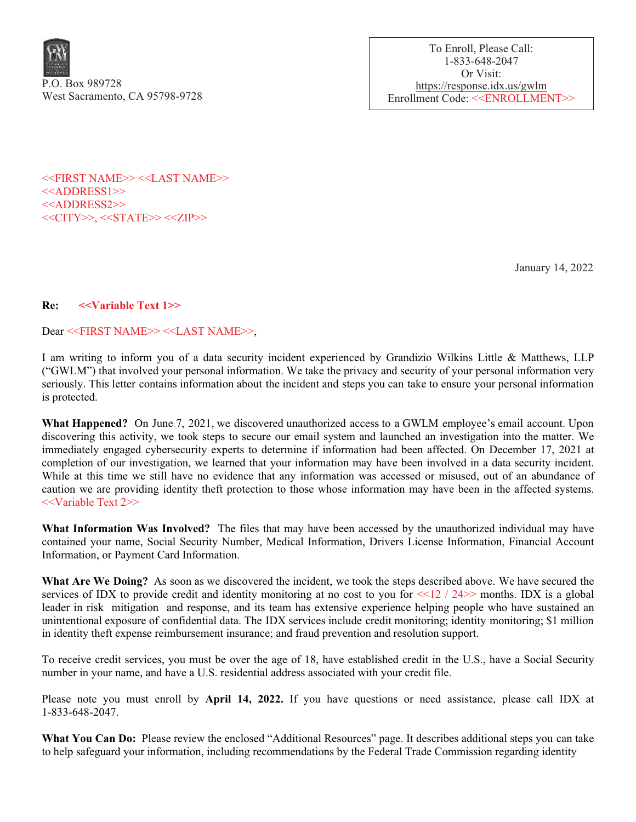

To Enroll, Please Call: 1-833-648-2047 Or Visit: https://response.idx.us/gwlm Enrollment Code: <<ENROLLMENT>>

<<FIRST NAME>> <<LAST NAME>> <<ADDRESS1>> <<ADDRESS2>> <<CITY>>, <<STATE>> <<ZIP>>

January 14, 2022

#### Re: <<Variable Text 1>>

#### Dear <<FIRST NAME>> <<LAST NAME>>,

I am writing to inform you of a data security incident experienced by Grandizio Wilkins Little & Matthews, LLP ("GWLM") that involved your personal information. We take the privacy and security of your personal information very seriously. This letter contains information about the incident and steps you can take to ensure your personal information is protected.

What Happened? On June 7, 2021, we discovered unauthorized access to a GWLM employee's email account. Upon discovering this activity, we took steps to secure our email system and launched an investigation into the matter. We immediately engaged cybersecurity experts to determine if information had been affected. On December 17, 2021 at completion of our investigation, we learned that your information may have been involved in a data security incident. While at this time we still have no evidence that any information was accessed or misused, out of an abundance of caution we are providing identity theft protection to those whose information may have been in the affected systems. <<Variable Text 2>>

What Information Was Involved? The files that may have been accessed by the unauthorized individual may have contained your name, Social Security Number, Medical Information, Drivers License Information, Financial Account Information, or Payment Card Information.

What Are We Doing? As soon as we discovered the incident, we took the steps described above. We have secured the services of IDX to provide credit and identity monitoring at no cost to you for  $\leq 12 / 24$  months. IDX is a global leader in risk mitigation and response, and its team has extensive experience helping people who have sustained an unintentional exposure of confidential data. The IDX services include credit monitoring; identity monitoring; \$1 million in identity theft expense reimbursement insurance; and fraud prevention and resolution support.

To receive credit services, you must be over the age of 18, have established credit in the U.S., have a Social Security number in your name, and have a U.S. residential address associated with your credit file.

Please note you must enroll by **April 14, 2022.** If you have questions or need assistance, please call IDX at 1-833-648-2047.

What You Can Do: Please review the enclosed "Additional Resources" page. It describes additional steps you can take to help safeguard your information, including recommendations by the Federal Trade Commission regarding identity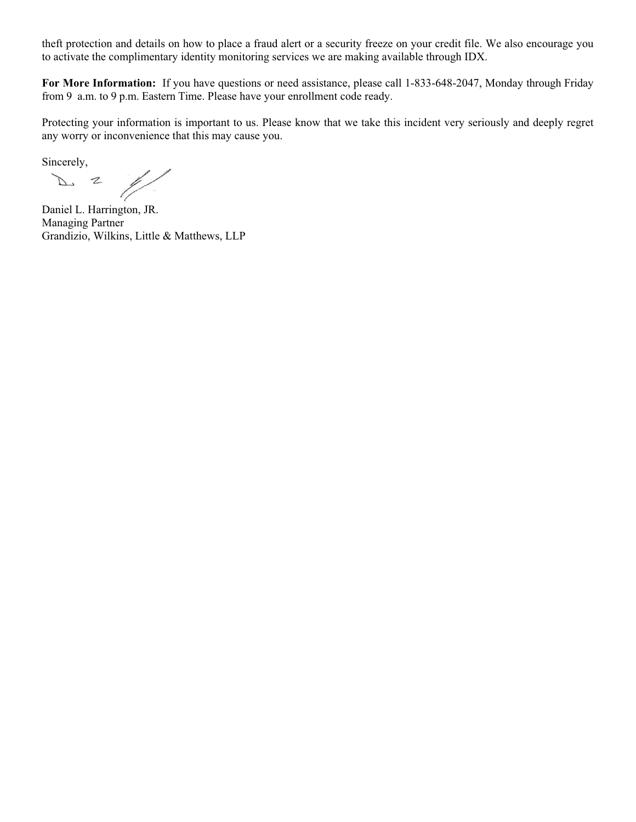theft protection and details on how to place a fraud alert or a security freeze on your credit file. We also encourage you to activate the complimentary identity monitoring services we are making available through IDX.

For More Information: If you have questions or need assistance, please call 1-833-648-2047, Monday through Friday from 9 a.m. to 9 p.m. Eastern Time. Please have your enrollment code ready.

Protecting your information is important to us. Please know that we take this incident very seriously and deeply regret any worry or inconvenience that this may cause you.

Sincerely,

 $\mathbb{Z}^{\mathbb{Z}}$  $\mathbb{Z}$  $\mathcal{P}$ 

Daniel L. Harrington, JR. Managing Partner Grandizio, Wilkins, Little & Matthews, LLP